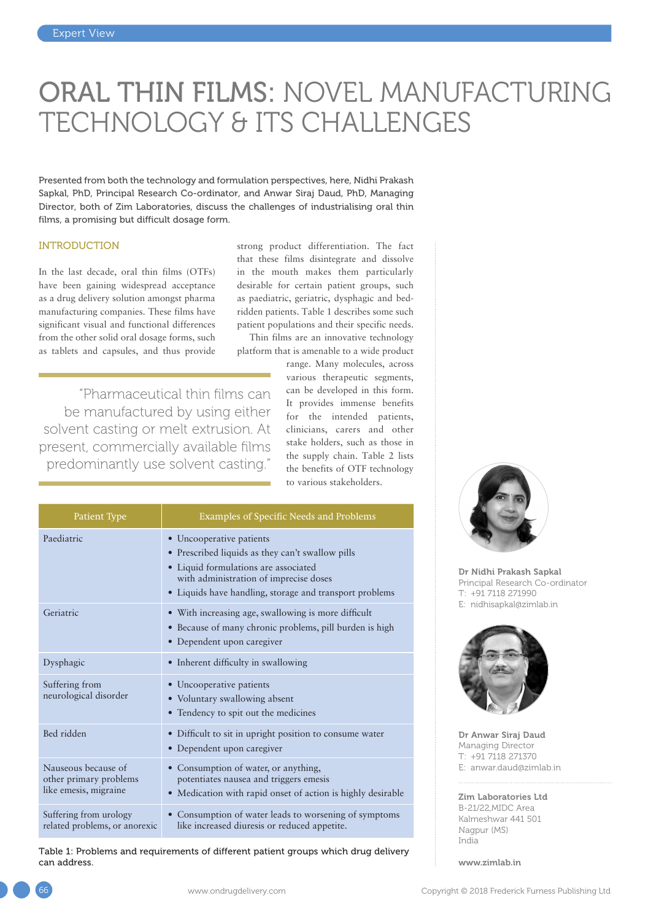# ORAL THIN FILMS: NOVEL MANUFACTURING TECHNOLOGY & ITS CHALLENGES

Presented from both the technology and formulation perspectives, here, Nidhi Prakash Sapkal, PhD, Principal Research Co-ordinator, and Anwar Siraj Daud, PhD, Managing Director, both of Zim Laboratories, discuss the challenges of industrialising oral thin films, a promising but difficult dosage form.

#### INTRODUCTION

In the last decade, oral thin films (OTFs) have been gaining widespread acceptance as a drug delivery solution amongst pharma manufacturing companies. These films have significant visual and functional differences from the other solid oral dosage forms, such as tablets and capsules, and thus provide

"Pharmaceutical thin films can be manufactured by using either solvent casting or melt extrusion. At present, commercially available films predominantly use solvent casting."

strong product differentiation. The fact that these films disintegrate and dissolve in the mouth makes them particularly desirable for certain patient groups, such as paediatric, geriatric, dysphagic and bedridden patients. Table 1 describes some such patient populations and their specific needs.

Thin films are an innovative technology platform that is amenable to a wide product

> range. Many molecules, across various therapeutic segments, can be developed in this form. It provides immense benefits for the intended patients, clinicians, carers and other stake holders, such as those in the supply chain. Table 2 lists the benefits of OTF technology to various stakeholders.

| Patient Type                                                           | <b>Examples of Specific Needs and Problems</b>                                                                                                                                                                            |  |
|------------------------------------------------------------------------|---------------------------------------------------------------------------------------------------------------------------------------------------------------------------------------------------------------------------|--|
| Paediatric                                                             | • Uncooperative patients<br>• Prescribed liquids as they can't swallow pills<br>• Liquid formulations are associated<br>with administration of imprecise doses<br>• Liquids have handling, storage and transport problems |  |
| Geriatric                                                              | • With increasing age, swallowing is more difficult<br>· Because of many chronic problems, pill burden is high<br>• Dependent upon caregiver                                                                              |  |
| Dysphagic                                                              | • Inherent difficulty in swallowing                                                                                                                                                                                       |  |
| Suffering from<br>neurological disorder                                | • Uncooperative patients<br>• Voluntary swallowing absent<br>• Tendency to spit out the medicines                                                                                                                         |  |
| Bed ridden                                                             | • Difficult to sit in upright position to consume water<br>• Dependent upon caregiver                                                                                                                                     |  |
| Nauseous because of<br>other primary problems<br>like emesis, migraine | Consumption of water, or anything,<br>potentiates nausea and triggers emesis<br>• Medication with rapid onset of action is highly desirable                                                                               |  |
| Suffering from urology<br>related problems, or anorexic                | Consumption of water leads to worsening of symptoms<br>like increased diuresis or reduced appetite.                                                                                                                       |  |

Table 1: Problems and requirements of different patient groups which drug delivery can address.



Dr Nidhi Prakash Sapkal Principal Research Co-ordinator T: +91 7118 271990 E: [nidhisapkal@zimlab.in](mailto:nidhisapkal@zimlab.in)



Dr Anwar Siraj Daud Managing Director T: +91 7118 271370 E: [anwar.daud@zimlab.in](mailto:anwar.daud@zimlab.in)

Zim Laboratories Ltd B-21/22,MIDC Area Kalmeshwar 441 501 Nagpur (MS) India

[www.zimlab.in](http://www.zimlab.in)

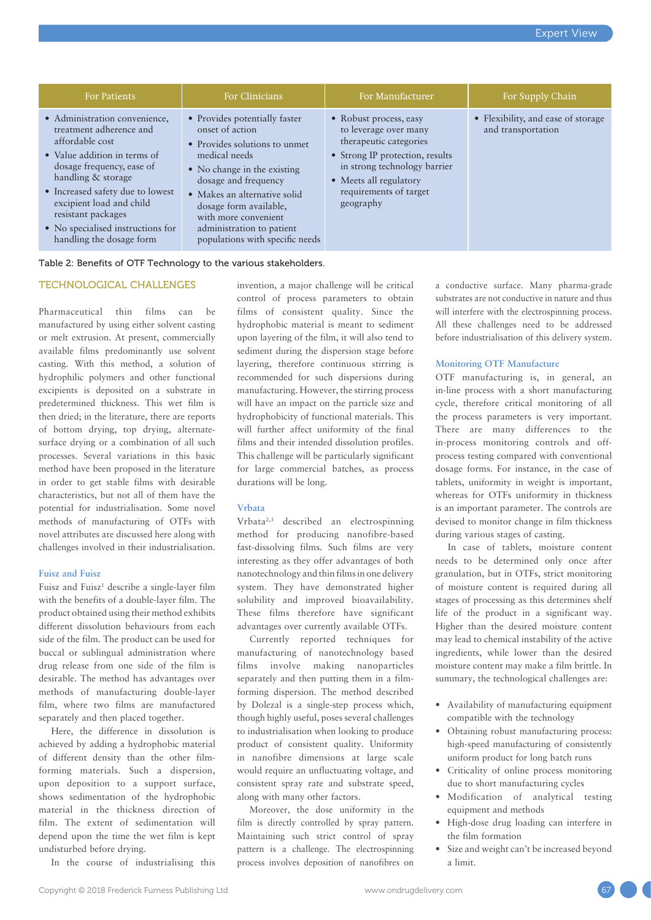| <b>For Patients</b>                                                                                                                                                                                                                                                                                                   | For Clinicians                                                                                                                                                                                                                                                                                              | For Manufacturer                                                                                                                                                                                              | For Supply Chain                                         |
|-----------------------------------------------------------------------------------------------------------------------------------------------------------------------------------------------------------------------------------------------------------------------------------------------------------------------|-------------------------------------------------------------------------------------------------------------------------------------------------------------------------------------------------------------------------------------------------------------------------------------------------------------|---------------------------------------------------------------------------------------------------------------------------------------------------------------------------------------------------------------|----------------------------------------------------------|
| • Administration convenience,<br>treatment adherence and<br>affordable cost<br>• Value addition in terms of<br>dosage frequency, ease of<br>handling & storage<br>• Increased safety due to lowest<br>excipient load and child<br>resistant packages<br>• No specialised instructions for<br>handling the dosage form | • Provides potentially faster<br>onset of action<br>• Provides solutions to unmet<br>medical needs<br>• No change in the existing<br>dosage and frequency<br>• Makes an alternative solid<br>dosage form available,<br>with more convenient<br>administration to patient<br>populations with specific needs | • Robust process, easy<br>to leverage over many<br>therapeutic categories<br>• Strong IP protection, results<br>in strong technology barrier<br>• Meets all regulatory<br>requirements of target<br>geography | • Flexibility, and ease of storage<br>and transportation |

Table 2: Benefits of OTF Technology to the various stakeholders.

## TECHNOLOGICAL CHALLENGES

Pharmaceutical thin films can be manufactured by using either solvent casting or melt extrusion. At present, commercially available films predominantly use solvent casting. With this method, a solution of hydrophilic polymers and other functional excipients is deposited on a substrate in predetermined thickness. This wet film is then dried; in the literature, there are reports of bottom drying, top drying, alternatesurface drying or a combination of all such processes. Several variations in this basic method have been proposed in the literature in order to get stable films with desirable characteristics, but not all of them have the potential for industrialisation. Some novel methods of manufacturing of OTFs with novel attributes are discussed here along with challenges involved in their industrialisation.

#### **Fuisz and Fuisz**

Fuisz and Fuisz<sup>1</sup> describe a single-layer film with the benefits of a double-layer film. The product obtained using their method exhibits different dissolution behaviours from each side of the film. The product can be used for buccal or sublingual administration where drug release from one side of the film is desirable. The method has advantages over methods of manufacturing double-layer film, where two films are manufactured separately and then placed together.

Here, the difference in dissolution is achieved by adding a hydrophobic material of different density than the other filmforming materials. Such a dispersion, upon deposition to a support surface, shows sedimentation of the hydrophobic material in the thickness direction of film. The extent of sedimentation will depend upon the time the wet film is kept undisturbed before drying.

In the course of industrialising this

invention, a major challenge will be critical control of process parameters to obtain films of consistent quality. Since the hydrophobic material is meant to sediment upon layering of the film, it will also tend to sediment during the dispersion stage before layering, therefore continuous stirring is recommended for such dispersions during manufacturing. However, the stirring process will have an impact on the particle size and hydrophobicity of functional materials. This will further affect uniformity of the final films and their intended dissolution profiles. This challenge will be particularly significant for large commercial batches, as process durations will be long.

#### **Vrbata**

Vrbata2,3 described an electrospinning method for producing nanofibre-based fast-dissolving films. Such films are very interesting as they offer advantages of both nanotechnology and thin films in one delivery system. They have demonstrated higher solubility and improved bioavailability. These films therefore have significant advantages over currently available OTFs.

Currently reported techniques for manufacturing of nanotechnology based films involve making nanoparticles separately and then putting them in a filmforming dispersion. The method described by Dolezal is a single-step process which, though highly useful, poses several challenges to industrialisation when looking to produce product of consistent quality. Uniformity in nanofibre dimensions at large scale would require an unfluctuating voltage, and consistent spray rate and substrate speed, along with many other factors.

Moreover, the dose uniformity in the film is directly controlled by spray pattern. Maintaining such strict control of spray pattern is a challenge. The electrospinning process involves deposition of nanofibres on a conductive surface. Many pharma-grade substrates are not conductive in nature and thus will interfere with the electrospinning process. All these challenges need to be addressed before industrialisation of this delivery system.

#### **Monitoring OTF Manufacture**

OTF manufacturing is, in general, an in-line process with a short manufacturing cycle, therefore critical monitoring of all the process parameters is very important. There are many differences to the in-process monitoring controls and offprocess testing compared with conventional dosage forms. For instance, in the case of tablets, uniformity in weight is important, whereas for OTFs uniformity in thickness is an important parameter. The controls are devised to monitor change in film thickness during various stages of casting.

In case of tablets, moisture content needs to be determined only once after granulation, but in OTFs, strict monitoring of moisture content is required during all stages of processing as this determines shelf life of the product in a significant way. Higher than the desired moisture content may lead to chemical instability of the active ingredients, while lower than the desired moisture content may make a film brittle. In summary, the technological challenges are:

- Availability of manufacturing equipment compatible with the technology
- Obtaining robust manufacturing process: high-speed manufacturing of consistently uniform product for long batch runs
- Criticality of online process monitoring due to short manufacturing cycles
- Modification of analytical testing equipment and methods
- High-dose drug loading can interfere in the film formation
- Size and weight can't be increased beyond a limit.